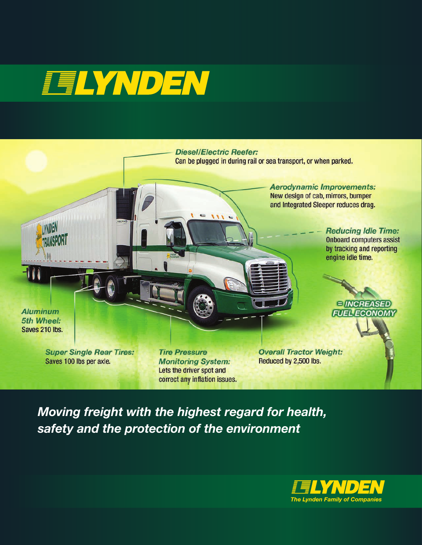# **FELYNDEN**



*Moving freight with the highest regard for health, safety and the protection of the environment*

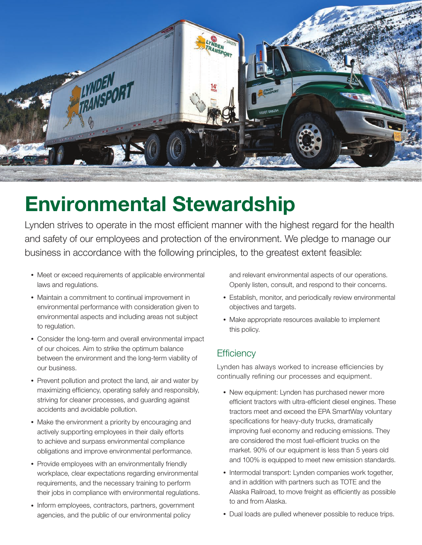

## **Environmental Stewardship**

Lynden strives to operate in the most efficient manner with the highest regard for the health and safety of our employees and protection of the environment. We pledge to manage our business in accordance with the following principles, to the greatest extent feasible:

- Meet or exceed requirements of applicable environmental laws and regulations.
- Maintain a commitment to continual improvement in environmental performance with consideration given to environmental aspects and including areas not subject to regulation.
- Consider the long-term and overall environmental impact of our choices. Aim to strike the optimum balance between the environment and the long-term viability of our business.
- Prevent pollution and protect the land, air and water by maximizing efficiency, operating safely and responsibly, striving for cleaner processes, and guarding against accidents and avoidable pollution.
- Make the environment a priority by encouraging and actively supporting employees in their daily efforts to achieve and surpass environmental compliance obligations and improve environmental performance.
- Provide employees with an environmentally friendly workplace, clear expectations regarding environmental requirements, and the necessary training to perform their jobs in compliance with environmental regulations.
- Inform employees, contractors, partners, government agencies, and the public of our environmental policy

and relevant environmental aspects of our operations. Openly listen, consult, and respond to their concerns.

- Establish, monitor, and periodically review environmental objectives and targets.
- Make appropriate resources available to implement this policy.

## **Efficiency**

Lynden has always worked to increase efficiencies by continually refining our processes and equipment.

- New equipment: Lynden has purchased newer more efficient tractors with ultra-efficient diesel engines. These tractors meet and exceed the EPA SmartWay voluntary specifications for heavy-duty trucks, dramatically improving fuel economy and reducing emissions. They are considered the most fuel-efficient trucks on the market. 90% of our equipment is less than 5 years old and 100% is equipped to meet new emission standards.
- Intermodal transport: Lynden companies work together, and in addition with partners such as TOTE and the Alaska Railroad, to move freight as efficiently as possible to and from Alaska.
- Dual loads are pulled whenever possible to reduce trips.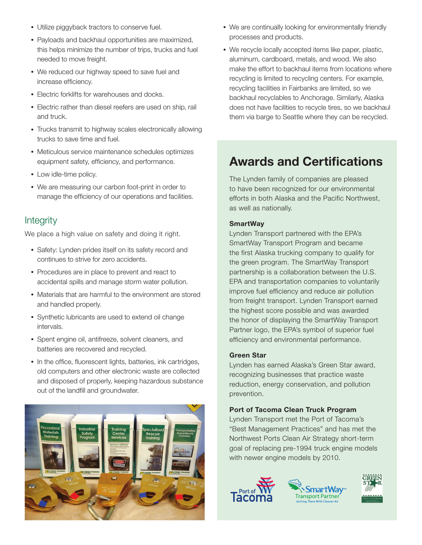- Utilize piggyback tractors to conserve fuel.
- Payloads and backhaul opportunities are maximized, this helps minimize the number of trips, trucks and fuel needed to move freight.
- We reduced our highway speed to save fuel and increase efficiency.
- Electric forklifts for warehouses and docks.
- Electric rather than diesel reefers are used on ship, rail and truck.
- Trucks transmit to highway scales electronically allowing trucks to save time and fuel.
- Meticulous service maintenance schedules optimizes equipment safety, efficiency, and performance.
- Low idle-time policy.
- We are measuring our carbon foot-print in order to manage the efficiency of our operations and facilities.

## Integrity

We place a high value on safety and doing it right.

- Safety: Lynden prides itself on its safety record and continues to strive for zero accidents.
- Procedures are in place to prevent and react to accidental spills and manage storm water pollution.
- Materials that are harmful to the environment are stored and handled properly.
- Synthetic lubricants are used to extend oil change intervals.
- Spent engine oil, antifreeze, solvent cleaners, and batteries are recovered and recycled.
- In the office, fluorescent lights, batteries, ink cartridges, old computers and other electronic waste are collected and disposed of properly, keeping hazardous substance out of the landfill and groundwater.



- We are continually looking for environmentally friendly processes and products.
- We recycle locally accepted items like paper, plastic, aluminum, cardboard, metals, and wood. We also make the effort to backhaul items from locations where recycling is limited to recycling centers. For example, recycling facilities in Fairbanks are limited, so we backhaul recyclables to Anchorage. Similarly, Alaska does not have facilities to recycle tires, so we backhaul them via barge to Seattle where they can be recycled.

## Awards and Certifications

The Lynden family of companies are pleased to have been recognized for our environmental efforts in both Alaska and the Pacific Northwest, as well as nationally.

### **SmartWay**

Lynden Transport partnered with the EPA's SmartWay Transport Program and became the first Alaska trucking company to qualify for the green program. The SmartWay Transport partnership is a collaboration between the U.S. EPA and transportation companies to voluntarily improve fuel efficiency and reduce air pollution from freight transport. Lynden Transport earned the highest score possible and was awarded the honor of displaying the SmartWay Transport Partner logo, the EPA's symbol of superior fuel efficiency and environmental performance.

#### Green Star

Lynden has earned Alaska's Green Star award, recognizing businesses that practice waste reduction, energy conservation, and pollution prevention.

## Port of Tacoma Clean Truck Program

Lynden Transport met the Port of Tacoma's "Best Management Practices" and has met the Northwest Ports Clean Air Strategy short-term goal of replacing pre-1994 truck engine models with newer engine models by 2010.